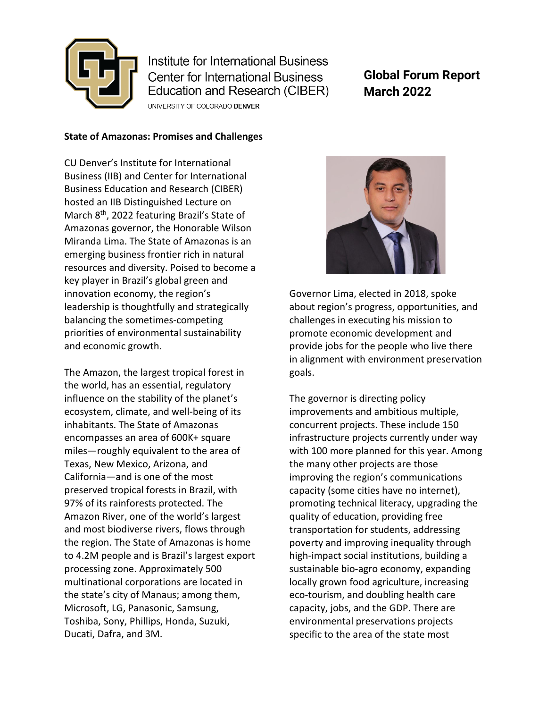

Institute for International Business **Center for International Business** Education and Research (CIBER)

UNIVERSITY OF COLORADO DENVER

## **Global Forum Report March 2022**

## **State of Amazonas: Promises and Challenges**

CU Denver's Institute for International Business (IIB) and Center for International Business Education and Research (CIBER) hosted an IIB Distinguished Lecture on March 8<sup>th</sup>, 2022 featuring Brazil's State of Amazonas governor, the Honorable Wilson Miranda Lima. The State of Amazonas is an emerging business frontier rich in natural resources and diversity. Poised to become a key player in Brazil's global green and innovation economy, the region's leadership is thoughtfully and strategically balancing the sometimes-competing priorities of environmental sustainability and economic growth.

The Amazon, the largest tropical forest in the world, has an essential, regulatory influence on the stability of the planet's ecosystem, climate, and well-being of its inhabitants. The State of Amazonas encompasses an area of 600K+ square miles—roughly equivalent to the area of Texas, New Mexico, Arizona, and California—and is one of the most preserved tropical forests in Brazil, with 97% of its rainforests protected. The Amazon River, one of the world's largest and most biodiverse rivers, flows through the region. The State of Amazonas is home to 4.2M people and is Brazil's largest export processing zone. Approximately 500 multinational corporations are located in the state's city of Manaus; among them, Microsoft, LG, Panasonic, Samsung, Toshiba, Sony, Phillips, Honda, Suzuki, Ducati, Dafra, and 3M.



Governor Lima, elected in 2018, spoke about region's progress, opportunities, and challenges in executing his mission to promote economic development and provide jobs for the people who live there in alignment with environment preservation goals.

The governor is directing policy improvements and ambitious multiple, concurrent projects. These include 150 infrastructure projects currently under way with 100 more planned for this year. Among the many other projects are those improving the region's communications capacity (some cities have no internet), promoting technical literacy, upgrading the quality of education, providing free transportation for students, addressing poverty and improving inequality through high-impact social institutions, building a sustainable bio-agro economy, expanding locally grown food agriculture, increasing eco-tourism, and doubling health care capacity, jobs, and the GDP. There are environmental preservations projects specific to the area of the state most